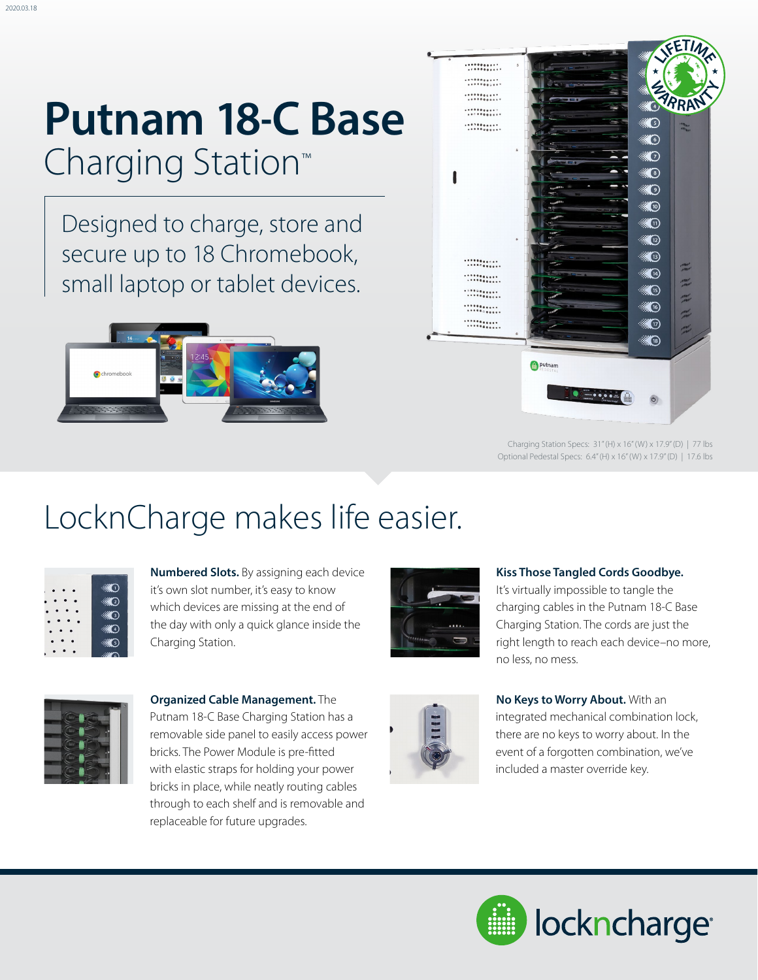# **Putnam 18-C Base**  Charging Station™

Designed to charge, store and secure up to 18 Chromebook, small laptop or tablet devices.





Charging Station Specs: 31" (H) x 16" (W) x 17.9" (D) | 77 lbs Optional Pedestal Specs: 6.4" (H) x 16" (W) x 17.9" (D) | 17.6 lbs

### LocknCharge makes life easier.

| $_{\left(1\right)}$ |
|---------------------|
| ව                   |
| 3)                  |
| 4)                  |
| $\mathfrak{s}$      |
|                     |

**Numbered Slots.** By assigning each device it's own slot number, it's easy to know which devices are missing at the end of the day with only a quick glance inside the Charging Station.



**Kiss Those Tangled Cords Goodbye.**

It's virtually impossible to tangle the charging cables in the Putnam 18-C Base Charging Station. The cords are just the right length to reach each device–no more, no less, no mess.



**Organized Cable Management.** The Putnam 18-C Base Charging Station has a removable side panel to easily access power bricks. The Power Module is pre-fitted with elastic straps for holding your power bricks in place, while neatly routing cables through to each shelf and is removable and replaceable for future upgrades.



#### **No Keys to Worry About.** With an integrated mechanical combination lock, there are no keys to worry about. In the event of a forgotten combination, we've

included a master override key.

lockncharge<sup>®</sup>